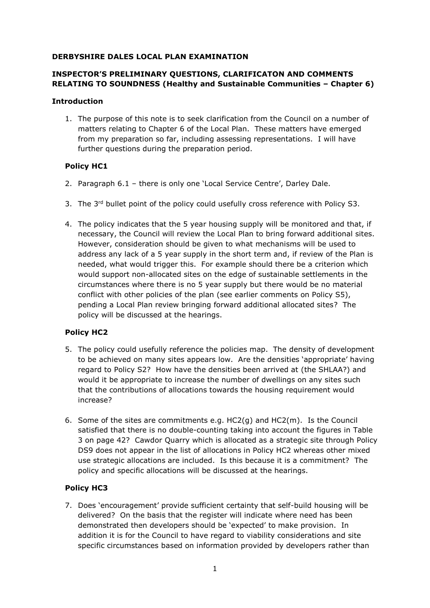#### **DERBYSHIRE DALES LOCAL PLAN EXAMINATION**

# **INSPECTOR'S PRELIMINARY QUESTIONS, CLARIFICATON AND COMMENTS RELATING TO SOUNDNESS (Healthy and Sustainable Communities – Chapter 6)**

#### **Introduction**

1. The purpose of this note is to seek clarification from the Council on a number of matters relating to Chapter 6 of the Local Plan. These matters have emerged from my preparation so far, including assessing representations. I will have further questions during the preparation period.

# **Policy HC1**

- 2. Paragraph 6.1 there is only one 'Local Service Centre', Darley Dale.
- 3. The  $3<sup>rd</sup>$  bullet point of the policy could usefully cross reference with Policy S3.
- 4. The policy indicates that the 5 year housing supply will be monitored and that, if necessary, the Council will review the Local Plan to bring forward additional sites. However, consideration should be given to what mechanisms will be used to address any lack of a 5 year supply in the short term and, if review of the Plan is needed, what would trigger this. For example should there be a criterion which would support non-allocated sites on the edge of sustainable settlements in the circumstances where there is no 5 year supply but there would be no material conflict with other policies of the plan (see earlier comments on Policy S5), pending a Local Plan review bringing forward additional allocated sites? The policy will be discussed at the hearings.

# **Policy HC2**

- 5. The policy could usefully reference the policies map. The density of development to be achieved on many sites appears low. Are the densities 'appropriate' having regard to Policy S2? How have the densities been arrived at (the SHLAA?) and would it be appropriate to increase the number of dwellings on any sites such that the contributions of allocations towards the housing requirement would increase?
- 6. Some of the sites are commitments e.g. HC2(g) and HC2(m). Is the Council satisfied that there is no double-counting taking into account the figures in Table 3 on page 42? Cawdor Quarry which is allocated as a strategic site through Policy DS9 does not appear in the list of allocations in Policy HC2 whereas other mixed use strategic allocations are included. Is this because it is a commitment? The policy and specific allocations will be discussed at the hearings.

# **Policy HC3**

7. Does 'encouragement' provide sufficient certainty that self-build housing will be delivered? On the basis that the register will indicate where need has been demonstrated then developers should be 'expected' to make provision. In addition it is for the Council to have regard to viability considerations and site specific circumstances based on information provided by developers rather than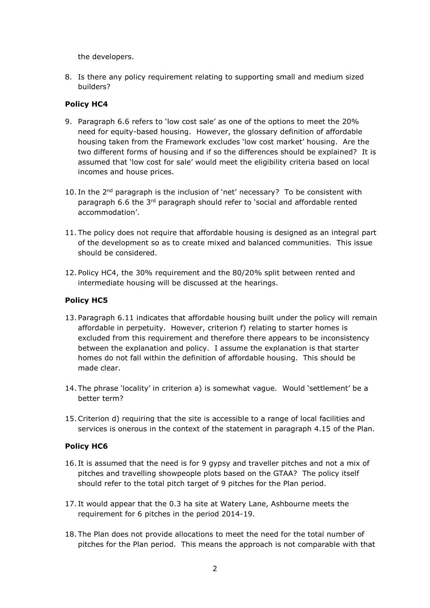the developers.

8. Is there any policy requirement relating to supporting small and medium sized builders?

## **Policy HC4**

- 9. Paragraph 6.6 refers to 'low cost sale' as one of the options to meet the 20% need for equity-based housing. However, the glossary definition of affordable housing taken from the Framework excludes 'low cost market' housing. Are the two different forms of housing and if so the differences should be explained? It is assumed that 'low cost for sale' would meet the eligibility criteria based on local incomes and house prices.
- 10. In the  $2<sup>nd</sup>$  paragraph is the inclusion of 'net' necessary? To be consistent with paragraph 6.6 the 3<sup>rd</sup> paragraph should refer to 'social and affordable rented accommodation'.
- 11. The policy does not require that affordable housing is designed as an integral part of the development so as to create mixed and balanced communities. This issue should be considered.
- 12. Policy HC4, the 30% requirement and the 80/20% split between rented and intermediate housing will be discussed at the hearings.

## **Policy HC5**

- 13. Paragraph 6.11 indicates that affordable housing built under the policy will remain affordable in perpetuity. However, criterion f) relating to starter homes is excluded from this requirement and therefore there appears to be inconsistency between the explanation and policy. I assume the explanation is that starter homes do not fall within the definition of affordable housing. This should be made clear.
- 14. The phrase 'locality' in criterion a) is somewhat vague. Would 'settlement' be a better term?
- 15.Criterion d) requiring that the site is accessible to a range of local facilities and services is onerous in the context of the statement in paragraph 4.15 of the Plan.

### **Policy HC6**

- 16. It is assumed that the need is for 9 gypsy and traveller pitches and not a mix of pitches and travelling showpeople plots based on the GTAA? The policy itself should refer to the total pitch target of 9 pitches for the Plan period.
- 17. It would appear that the 0.3 ha site at Watery Lane, Ashbourne meets the requirement for 6 pitches in the period 2014-19.
- 18. The Plan does not provide allocations to meet the need for the total number of pitches for the Plan period. This means the approach is not comparable with that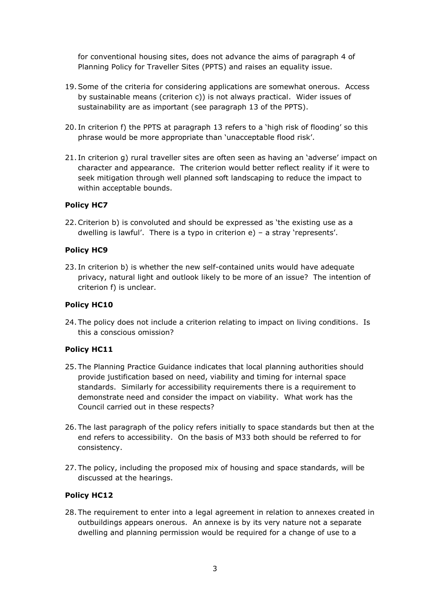for conventional housing sites, does not advance the aims of paragraph 4 of Planning Policy for Traveller Sites (PPTS) and raises an equality issue.

- 19.Some of the criteria for considering applications are somewhat onerous. Access by sustainable means (criterion c)) is not always practical. Wider issues of sustainability are as important (see paragraph 13 of the PPTS).
- 20. In criterion f) the PPTS at paragraph 13 refers to a 'high risk of flooding' so this phrase would be more appropriate than 'unacceptable flood risk'.
- 21. In criterion g) rural traveller sites are often seen as having an 'adverse' impact on character and appearance. The criterion would better reflect reality if it were to seek mitigation through well planned soft landscaping to reduce the impact to within acceptable bounds.

#### **Policy HC7**

22.Criterion b) is convoluted and should be expressed as 'the existing use as a dwelling is lawful'. There is a typo in criterion e) – a stray 'represents'.

#### **Policy HC9**

23. In criterion b) is whether the new self-contained units would have adequate privacy, natural light and outlook likely to be more of an issue? The intention of criterion f) is unclear.

#### **Policy HC10**

24. The policy does not include a criterion relating to impact on living conditions. Is this a conscious omission?

### **Policy HC11**

- 25. The Planning Practice Guidance indicates that local planning authorities should provide justification based on need, viability and timing for internal space standards. Similarly for accessibility requirements there is a requirement to demonstrate need and consider the impact on viability. What work has the Council carried out in these respects?
- 26. The last paragraph of the policy refers initially to space standards but then at the end refers to accessibility. On the basis of M33 both should be referred to for consistency.
- 27. The policy, including the proposed mix of housing and space standards, will be discussed at the hearings.

### **Policy HC12**

28. The requirement to enter into a legal agreement in relation to annexes created in outbuildings appears onerous. An annexe is by its very nature not a separate dwelling and planning permission would be required for a change of use to a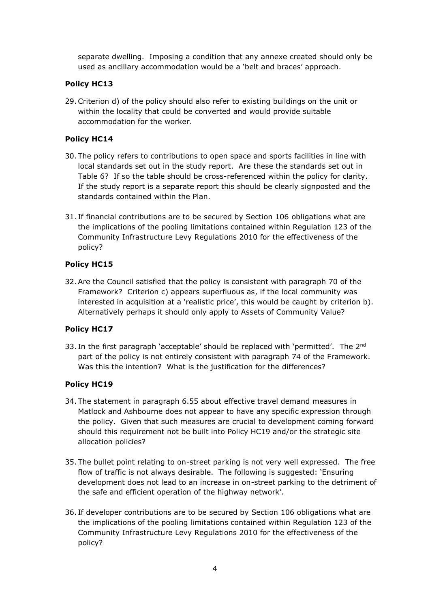separate dwelling. Imposing a condition that any annexe created should only be used as ancillary accommodation would be a 'belt and braces' approach.

## **Policy HC13**

29.Criterion d) of the policy should also refer to existing buildings on the unit or within the locality that could be converted and would provide suitable accommodation for the worker.

# **Policy HC14**

- 30. The policy refers to contributions to open space and sports facilities in line with local standards set out in the study report. Are these the standards set out in Table 6? If so the table should be cross-referenced within the policy for clarity. If the study report is a separate report this should be clearly signposted and the standards contained within the Plan.
- 31. If financial contributions are to be secured by Section 106 obligations what are the implications of the pooling limitations contained within Regulation 123 of the Community Infrastructure Levy Regulations 2010 for the effectiveness of the policy?

# **Policy HC15**

32.Are the Council satisfied that the policy is consistent with paragraph 70 of the Framework? Criterion c) appears superfluous as, if the local community was interested in acquisition at a 'realistic price', this would be caught by criterion b). Alternatively perhaps it should only apply to Assets of Community Value?

### **Policy HC17**

33. In the first paragraph 'acceptable' should be replaced with 'permitted'. The 2<sup>nd</sup> part of the policy is not entirely consistent with paragraph 74 of the Framework. Was this the intention? What is the justification for the differences?

### **Policy HC19**

- 34. The statement in paragraph 6.55 about effective travel demand measures in Matlock and Ashbourne does not appear to have any specific expression through the policy. Given that such measures are crucial to development coming forward should this requirement not be built into Policy HC19 and/or the strategic site allocation policies?
- 35. The bullet point relating to on-street parking is not very well expressed. The free flow of traffic is not always desirable. The following is suggested: 'Ensuring development does not lead to an increase in on-street parking to the detriment of the safe and efficient operation of the highway network'.
- 36. If developer contributions are to be secured by Section 106 obligations what are the implications of the pooling limitations contained within Regulation 123 of the Community Infrastructure Levy Regulations 2010 for the effectiveness of the policy?